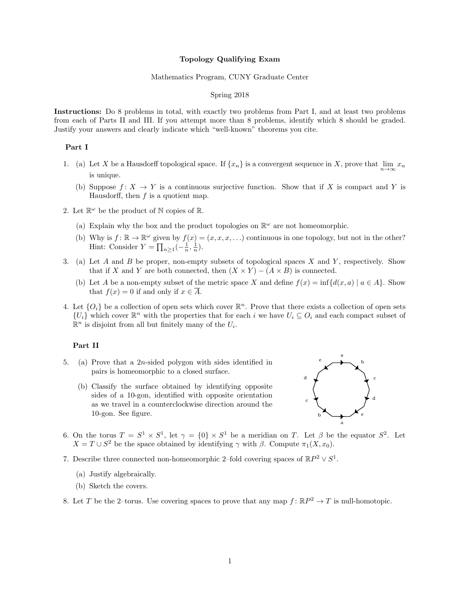#### Topology Qualifying Exam

#### Mathematics Program, CUNY Graduate Center

## Spring 2018

Instructions: Do 8 problems in total, with exactly two problems from Part I, and at least two problems from each of Parts II and III. If you attempt more than 8 problems, identify which 8 should be graded. Justify your answers and clearly indicate which "well-known" theorems you cite.

## Part I

- 1. (a) Let X be a Hausdorff topological space. If  $\{x_n\}$  is a convergent sequence in X, prove that  $\lim_{n\to\infty}x_n$ is unique.
	- (b) Suppose  $f: X \to Y$  is a continuous surjective function. Show that if X is compact and Y is Hausdorff, then  $f$  is a quotient map.
- 2. Let  $\mathbb{R}^{\omega}$  be the product of N copies of R.
	- (a) Explain why the box and the product topologies on  $\mathbb{R}^{\omega}$  are not homeomorphic.
	- (b) Why is  $f: \mathbb{R} \to \mathbb{R}^{\omega}$  given by  $f(x) = (x, x, x, ...)$  continuous in one topology, but not in the other? Hint: Consider  $Y = \prod_{n\geq 1} \left(-\frac{1}{n}, \frac{1}{n}\right)$ .
- 3. (a) Let A and B be proper, non-empty subsets of topological spaces X and Y, respectively. Show that if X and Y are both connected, then  $(X \times Y) - (A \times B)$  is connected.
	- (b) Let A be a non-empty subset of the metric space X and define  $f(x) = \inf \{d(x, a) | a \in A\}$ . Show that  $f(x) = 0$  if and only if  $x \in \overline{A}$ .
- 4. Let  $\{O_i\}$  be a collection of open sets which cover  $\mathbb{R}^n$ . Prove that there exists a collection of open sets  ${U_i}$  which cover  $\mathbb{R}^n$  with the properties that for each i we have  $U_i \subseteq O_i$  and each compact subset of  $\mathbb{R}^n$  is disjoint from all but finitely many of the  $U_i$ .

### Part II

- 5. (a) Prove that a 2n-sided polygon with sides identified in pairs is homeomorphic to a closed surface.
	- (b) Classify the surface obtained by identifying opposite sides of a 10-gon, identified with opposite orientation as we travel in a counterclockwise direction around the 10-gon. See figure.



- 6. On the torus  $T = S^1 \times S^1$ , let  $\gamma = \{0\} \times S^1$  be a meridian on T. Let  $\beta$  be the equator  $S^2$ . Let  $X = T \cup S^2$  be the space obtained by identifying  $\gamma$  with  $\beta$ . Compute  $\pi_1(X, x_0)$ .
- 7. Describe three connected non-homeomorphic 2-fold covering spaces of  $\mathbb{R}P^2 \vee S^1$ .
	- (a) Justify algebraically.
	- (b) Sketch the covers.
- 8. Let T be the 2-torus. Use covering spaces to prove that any map  $f: \mathbb{R}P^2 \to T$  is null-homotopic.